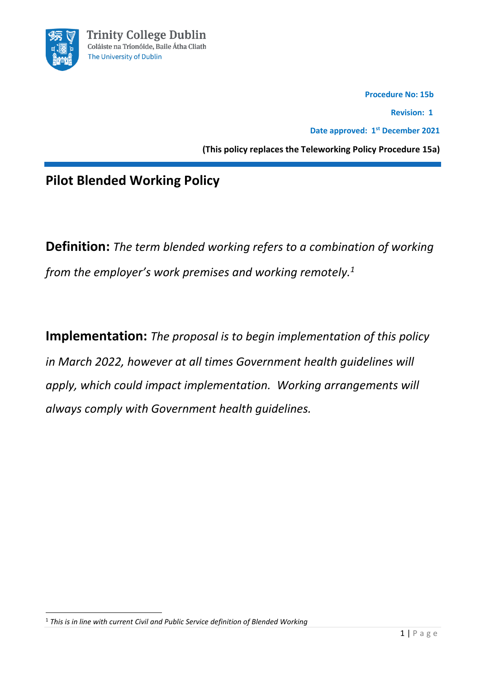

 **Procedure No: 15b** 

 **Revision: 1**

**Date approved: 1 st December 2021**

**(This policy replaces the Teleworking Policy Procedure 15a)**

# **Pilot Blended Working Policy**

**Definition:** *The term blended working refers to a combination of working from the employer's work premises and working remotely.<sup>1</sup>*

**Implementation:** *The proposal is to begin implementation of this policy in March 2022, however at all times Government health guidelines will apply, which could impact implementation. Working arrangements will always comply with Government health guidelines.*

<sup>1</sup> *This is in line with current Civil and Public Service definition of Blended Working*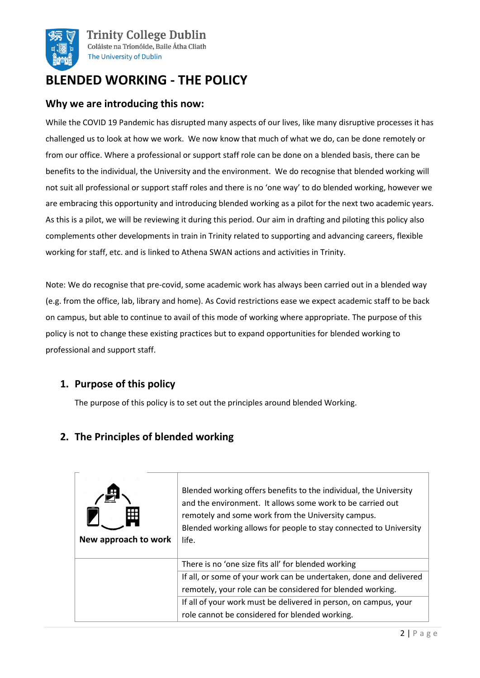

# **BLENDED WORKING - THE POLICY**

### **Why we are introducing this now:**

While the COVID 19 Pandemic has disrupted many aspects of our lives, like many disruptive processes it has challenged us to look at how we work. We now know that much of what we do, can be done remotely or from our office. Where a professional or support staff role can be done on a blended basis, there can be benefits to the individual, the University and the environment. We do recognise that blended working will not suit all professional or support staff roles and there is no 'one way' to do blended working, however we are embracing this opportunity and introducing blended working as a pilot for the next two academic years. As this is a pilot, we will be reviewing it during this period. Our aim in drafting and piloting this policy also complements other developments in train in Trinity related to supporting and advancing careers, flexible working for staff, etc. and is linked to Athena SWAN actions and activities in Trinity.

Note: We do recognise that pre-covid, some academic work has always been carried out in a blended way (e.g. from the office, lab, library and home). As Covid restrictions ease we expect academic staff to be back on campus, but able to continue to avail of this mode of working where appropriate. The purpose of this policy is not to change these existing practices but to expand opportunities for blended working to professional and support staff.

## **1. Purpose of this policy**

The purpose of this policy is to set out the principles around blended Working.

## **2. The Principles of blended working**

| New approach to work | Blended working offers benefits to the individual, the University<br>and the environment. It allows some work to be carried out<br>remotely and some work from the University campus.<br>Blended working allows for people to stay connected to University<br>life. |  |
|----------------------|---------------------------------------------------------------------------------------------------------------------------------------------------------------------------------------------------------------------------------------------------------------------|--|
|                      | There is no 'one size fits all' for blended working                                                                                                                                                                                                                 |  |
|                      | If all, or some of your work can be undertaken, done and delivered                                                                                                                                                                                                  |  |
|                      | remotely, your role can be considered for blended working.                                                                                                                                                                                                          |  |
|                      | If all of your work must be delivered in person, on campus, your                                                                                                                                                                                                    |  |
|                      | role cannot be considered for blended working.                                                                                                                                                                                                                      |  |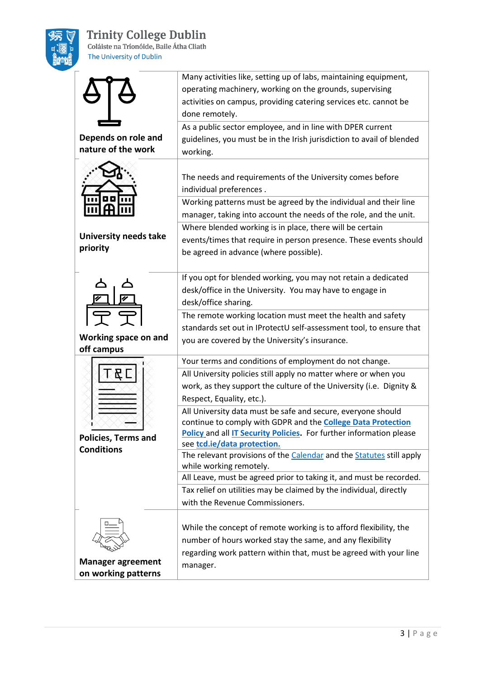

# **Trinity College Dublin**<br>Coláiste na Tríonóide, Baile Átha Cliath

The University of Dublin

|                                                 | Many activities like, setting up of labs, maintaining equipment,<br>operating machinery, working on the grounds, supervising<br>activities on campus, providing catering services etc. cannot be<br>done remotely.                               |
|-------------------------------------------------|--------------------------------------------------------------------------------------------------------------------------------------------------------------------------------------------------------------------------------------------------|
| Depends on role and<br>nature of the work       | As a public sector employee, and in line with DPER current<br>guidelines, you must be in the Irish jurisdiction to avail of blended<br>working.                                                                                                  |
|                                                 | The needs and requirements of the University comes before<br>individual preferences.<br>Working patterns must be agreed by the individual and their line                                                                                         |
|                                                 | manager, taking into account the needs of the role, and the unit.                                                                                                                                                                                |
| <b>University needs take</b><br>priority        | Where blended working is in place, there will be certain<br>events/times that require in person presence. These events should<br>be agreed in advance (where possible).                                                                          |
|                                                 | If you opt for blended working, you may not retain a dedicated<br>desk/office in the University. You may have to engage in<br>desk/office sharing.                                                                                               |
| Working space on and<br>off campus              | The remote working location must meet the health and safety<br>standards set out in IProtectU self-assessment tool, to ensure that<br>you are covered by the University's insurance.                                                             |
|                                                 | Your terms and conditions of employment do not change.                                                                                                                                                                                           |
|                                                 | All University policies still apply no matter where or when you<br>work, as they support the culture of the University (i.e. Dignity &<br>Respect, Equality, etc.).                                                                              |
| <b>Policies, Terms and</b><br><b>Conditions</b> | All University data must be safe and secure, everyone should<br>continue to comply with GDPR and the <b>College Data Protection</b><br><b>Policy and all IT Security Policies.</b> For further information please<br>see tcd.ie/data protection. |
|                                                 | The relevant provisions of the Calendar and the Statutes still apply                                                                                                                                                                             |
|                                                 | while working remotely.<br>All Leave, must be agreed prior to taking it, and must be recorded.                                                                                                                                                   |
|                                                 | Tax relief on utilities may be claimed by the individual, directly                                                                                                                                                                               |
|                                                 | with the Revenue Commissioners.                                                                                                                                                                                                                  |
| <b>Manager agreement</b>                        | While the concept of remote working is to afford flexibility, the<br>number of hours worked stay the same, and any flexibility<br>regarding work pattern within that, must be agreed with your line                                              |
| on working patterns                             | manager.                                                                                                                                                                                                                                         |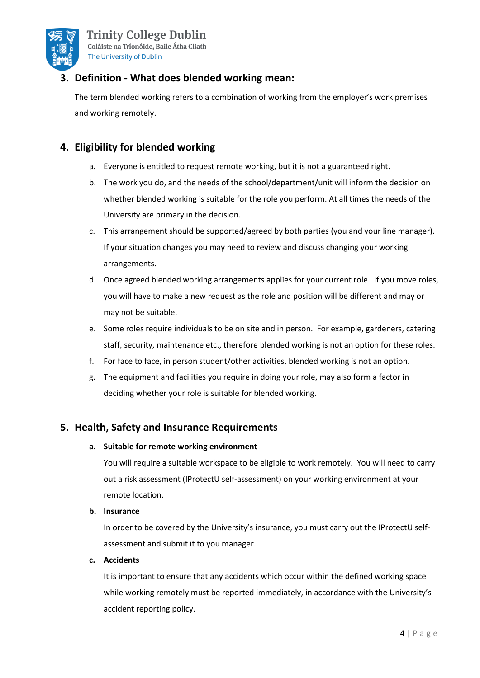

# **3. Definition - What does blended working mean:**

The term blended working refers to a combination of working from the employer's work premises and working remotely.

## **4. Eligibility for blended working**

- a. Everyone is entitled to request remote working, but it is not a guaranteed right.
- b. The work you do, and the needs of the school/department/unit will inform the decision on whether blended working is suitable for the role you perform. At all times the needs of the University are primary in the decision.
- c. This arrangement should be supported/agreed by both parties (you and your line manager). If your situation changes you may need to review and discuss changing your working arrangements.
- d. Once agreed blended working arrangements applies for your current role. If you move roles, you will have to make a new request as the role and position will be different and may or may not be suitable.
- e. Some roles require individuals to be on site and in person. For example, gardeners, catering staff, security, maintenance etc., therefore blended working is not an option for these roles.
- f. For face to face, in person student/other activities, blended working is not an option.
- g. The equipment and facilities you require in doing your role, may also form a factor in deciding whether your role is suitable for blended working.

## **5. Health, Safety and Insurance Requirements**

#### **a. Suitable for remote working environment**

You will require a suitable workspace to be eligible to work remotely. You will need to carry out a risk assessment (IProtectU self-assessment) on your working environment at your remote location.

#### **b. Insurance**

In order to be covered by the University's insurance, you must carry out the IProtectU selfassessment and submit it to you manager.

#### **c. Accidents**

It is important to ensure that any accidents which occur within the defined working space while working remotely must be reported immediately, in accordance with the University's accident reporting policy.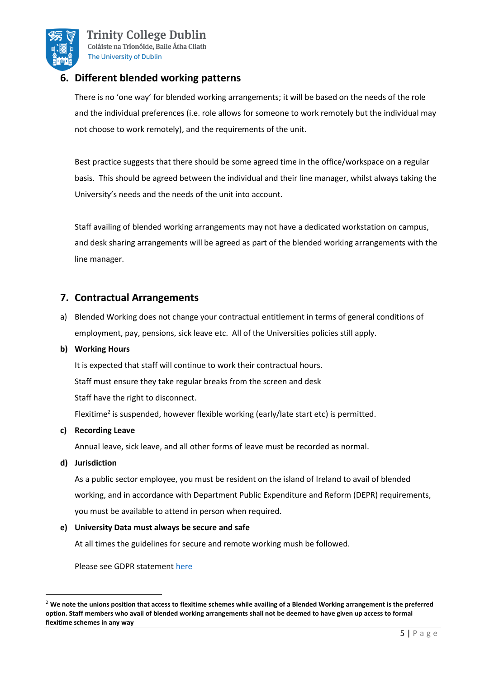

**Trinity College Dublin** Coláiste na Tríonóide, Baile Átha Cliath The University of Dublin

## **6. Different blended working patterns**

There is no 'one way' for blended working arrangements; it will be based on the needs of the role and the individual preferences (i.e. role allows for someone to work remotely but the individual may not choose to work remotely), and the requirements of the unit.

Best practice suggests that there should be some agreed time in the office/workspace on a regular basis. This should be agreed between the individual and their line manager, whilst always taking the University's needs and the needs of the unit into account.

Staff availing of blended working arrangements may not have a dedicated workstation on campus, and desk sharing arrangements will be agreed as part of the blended working arrangements with the line manager.

## **7. Contractual Arrangements**

a) Blended Working does not change your contractual entitlement in terms of general conditions of employment, pay, pensions, sick leave etc. All of the Universities policies still apply.

#### **b) Working Hours**

It is expected that staff will continue to work their contractual hours.

Staff must ensure they take regular breaks from the screen and desk

Staff have the right to disconnect.

Flexitime<sup>2</sup> is suspended, however flexible working (early/late start etc) is permitted.

#### **c) Recording Leave**

Annual leave, sick leave, and all other forms of leave must be recorded as normal.

#### **d) Jurisdiction**

As a public sector employee, you must be resident on the island of Ireland to avail of blended working, and in accordance with Department Public Expenditure and Reform (DEPR) requirements, you must be available to attend in person when required.

#### **e) University Data must always be secure and safe**

At all times the guidelines for secure and remote working mush be followed.

Please see GDPR statement [here](https://www.tcd.ie/dataprotection/assets/docs/dataprotectionhandbook/DP_Handbook_15042021.pdf)

<sup>2</sup> **We note the unions position that access to flexitime schemes while availing of a Blended Working arrangement is the preferred option. Staff members who avail of blended working arrangements shall not be deemed to have given up access to formal flexitime schemes in any way**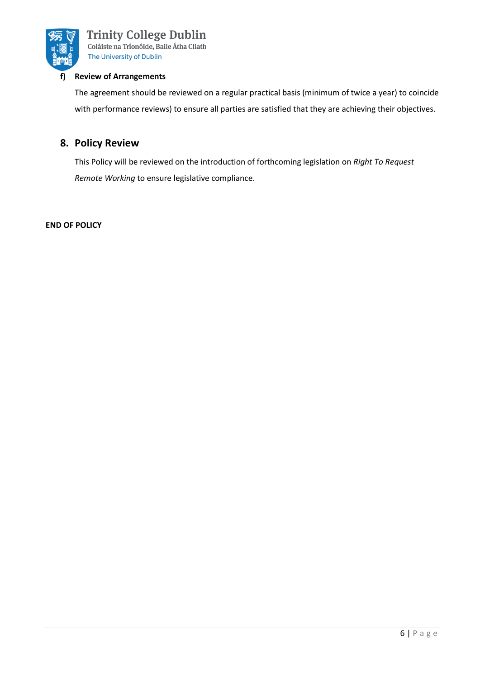

#### **f) Review of Arrangements**

The agreement should be reviewed on a regular practical basis (minimum of twice a year) to coincide with performance reviews) to ensure all parties are satisfied that they are achieving their objectives.

## **8. Policy Review**

This Policy will be reviewed on the introduction of forthcoming legislation on *Right To Request Remote Working* to ensure legislative compliance.

#### **END OF POLICY**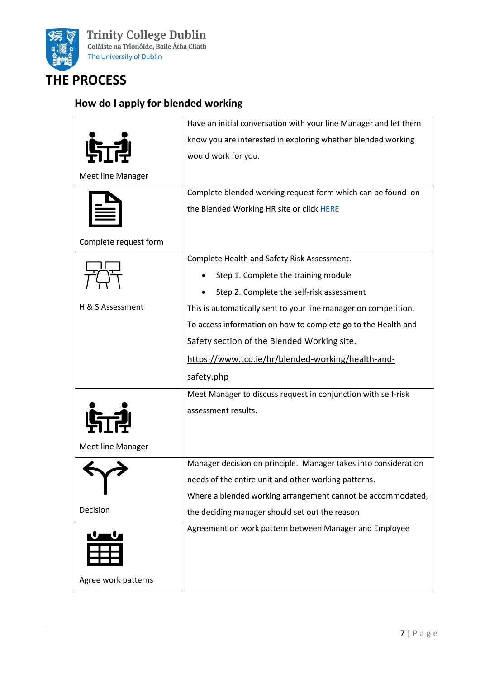

# **THE PROCESS**

# **How do I apply for blended working**

|                       | Have an initial conversation with your line Manager and let them |  |
|-----------------------|------------------------------------------------------------------|--|
|                       | know you are interested in exploring whether blended working     |  |
|                       | would work for you.                                              |  |
| Meet line Manager     |                                                                  |  |
|                       | Complete blended working request form which can be found on      |  |
|                       | the Blended Working HR site or click HERE                        |  |
| Complete request form |                                                                  |  |
|                       | Complete Health and Safety Risk Assessment.                      |  |
|                       | Step 1. Complete the training module                             |  |
|                       | Step 2. Complete the self-risk assessment                        |  |
| H & S Assessment      | This is automatically sent to your line manager on competition.  |  |
|                       | To access information on how to complete go to the Health and    |  |
|                       | Safety section of the Blended Working site.                      |  |
|                       | https://www.tcd.ie/hr/blended-working/health-and-                |  |
|                       | safety.php                                                       |  |
|                       | Meet Manager to discuss request in conjunction with self-risk    |  |
|                       | assessment results.                                              |  |
| Meet line Manager     |                                                                  |  |
|                       | Manager decision on principle. Manager takes into consideration  |  |
|                       | needs of the entire unit and other working patterns.             |  |
|                       | Where a blended working arrangement cannot be accommodated,      |  |
| Decision              | the deciding manager should set out the reason                   |  |
| ᠸ᠆᠊ᡁ                  | Agreement on work pattern between Manager and Employee           |  |
| Agree work patterns   |                                                                  |  |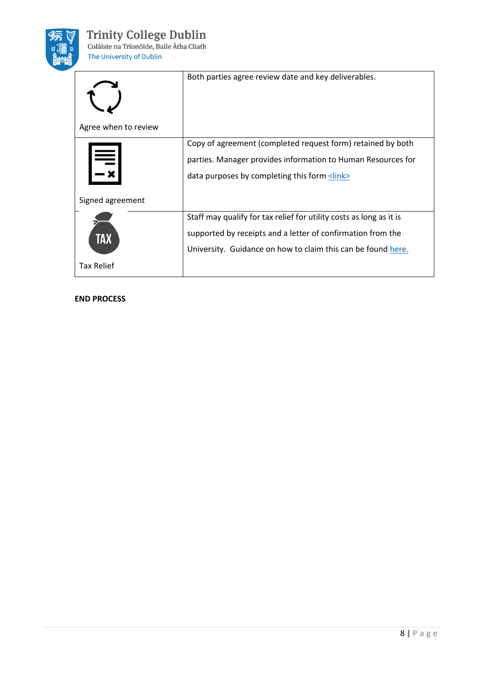

| Agree when to review         | Both parties agree review date and key deliverables.                                                                                                                                               |
|------------------------------|----------------------------------------------------------------------------------------------------------------------------------------------------------------------------------------------------|
| $\equiv$<br>Signed agreement | Copy of agreement (completed request form) retained by both<br>parties. Manager provides information to Human Resources for<br>data purposes by completing this form <link/>                       |
| TAX<br><b>Tax Relief</b>     | Staff may qualify for tax relief for utility costs as long as it is<br>supported by receipts and a letter of confirmation from the<br>University. Guidance on how to claim this can be found here. |

#### **END PROCESS**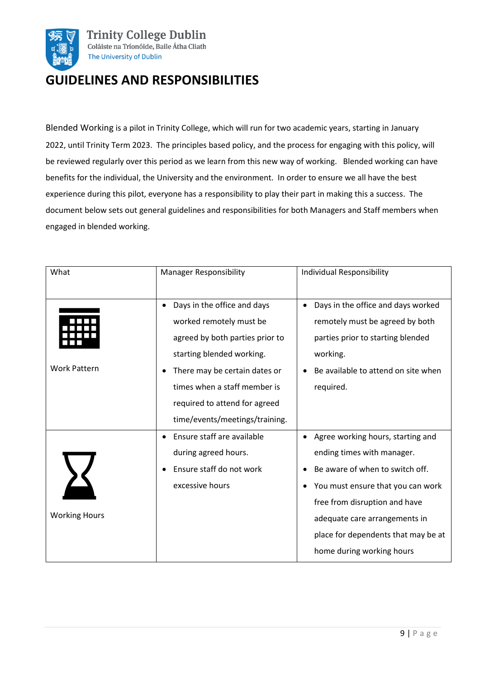

# **GUIDELINES AND RESPONSIBILITIES**

Blended Working is a pilot in Trinity College, which will run for two academic years, starting in January 2022, until Trinity Term 2023. The principles based policy, and the process for engaging with this policy, will be reviewed regularly over this period as we learn from this new way of working. Blended working can have benefits for the individual, the University and the environment. In order to ensure we all have the best experience during this pilot, everyone has a responsibility to play their part in making this a success. The document below sets out general guidelines and responsibilities for both Managers and Staff members when engaged in blended working.

| What                 | <b>Manager Responsibility</b>                                                                                                                                                                                                                              | Individual Responsibility                                                                                                                                                                                                                                                     |  |
|----------------------|------------------------------------------------------------------------------------------------------------------------------------------------------------------------------------------------------------------------------------------------------------|-------------------------------------------------------------------------------------------------------------------------------------------------------------------------------------------------------------------------------------------------------------------------------|--|
| <b>Work Pattern</b>  | Days in the office and days<br>worked remotely must be<br>agreed by both parties prior to<br>starting blended working.<br>There may be certain dates or<br>times when a staff member is<br>required to attend for agreed<br>time/events/meetings/training. | Days in the office and days worked<br>remotely must be agreed by both<br>parties prior to starting blended<br>working.<br>Be available to attend on site when<br>required.                                                                                                    |  |
| <b>Working Hours</b> | Ensure staff are available<br>during agreed hours.<br>Ensure staff do not work<br>excessive hours                                                                                                                                                          | Agree working hours, starting and<br>ending times with manager.<br>Be aware of when to switch off.<br>You must ensure that you can work<br>free from disruption and have<br>adequate care arrangements in<br>place for dependents that may be at<br>home during working hours |  |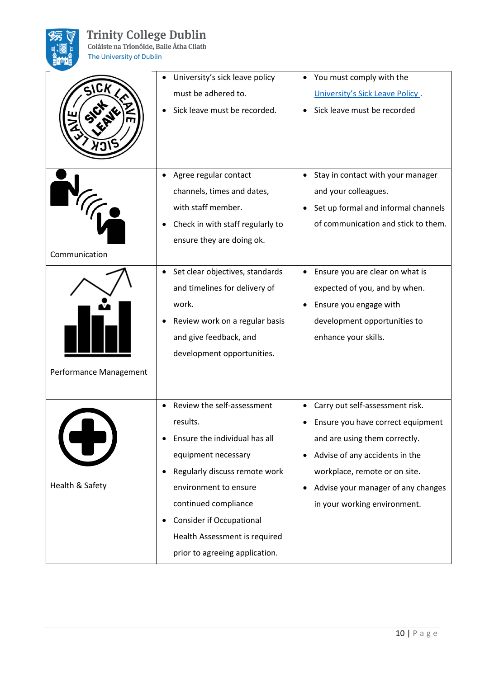

# **Trinity College Dublin**<br>Coláiste na Tríonóide, Baile Átha Cliath

The University of Dublin

| SICK                   | University's sick leave policy<br>must be adhered to.<br>Sick leave must be recorded.                                                                                                                                                                                                  | You must comply with the<br>University's Sick Leave Policy.<br>Sick leave must be recorded                                                                                                                                                     |  |
|------------------------|----------------------------------------------------------------------------------------------------------------------------------------------------------------------------------------------------------------------------------------------------------------------------------------|------------------------------------------------------------------------------------------------------------------------------------------------------------------------------------------------------------------------------------------------|--|
| Communication          | Agree regular contact<br>channels, times and dates,<br>with staff member.<br>Check in with staff regularly to<br>ensure they are doing ok.                                                                                                                                             | Stay in contact with your manager<br>and your colleagues.<br>Set up formal and informal channels<br>of communication and stick to them.                                                                                                        |  |
| Performance Management | Set clear objectives, standards<br>and timelines for delivery of<br>work.<br>Review work on a regular basis<br>and give feedback, and<br>development opportunities.                                                                                                                    | Ensure you are clear on what is<br>expected of you, and by when.<br>Ensure you engage with<br>development opportunities to<br>enhance your skills.                                                                                             |  |
| Health & Safety        | Review the self-assessment<br>results.<br>Ensure the individual has all<br>equipment necessary<br>Regularly discuss remote work<br>environment to ensure<br>continued compliance<br><b>Consider if Occupational</b><br>Health Assessment is required<br>prior to agreeing application. | Carry out self-assessment risk.<br>Ensure you have correct equipment<br>and are using them correctly.<br>Advise of any accidents in the<br>workplace, remote or on site.<br>Advise your manager of any changes<br>in your working environment. |  |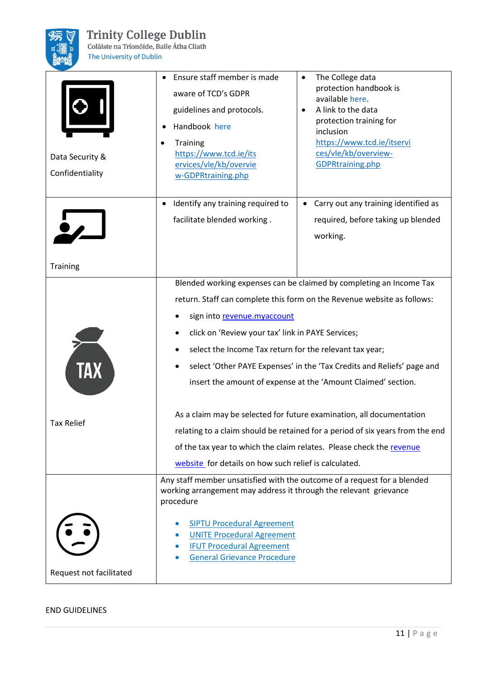

# **Trinity College Dublin**

Coláiste na Tríonóide, Baile Átha Cliath The University of Dublin

Data Security & Confidentiality • Ensure staff member is made aware of TCD's GDPR guidelines and protocols. • Handbook [here](https://www.tcd.ie/dataprotection/assets/docs/dataprotectionhandbook/DP_Handbook_15042021.pdf) **Training** [https://www.tcd.ie/its](https://www.tcd.ie/itservices/vle/kb/overview-GDPRtraining.php) [ervices/vle/kb/overvie](https://www.tcd.ie/itservices/vle/kb/overview-GDPRtraining.php) [w-GDPRtraining.php](https://www.tcd.ie/itservices/vle/kb/overview-GDPRtraining.php) • The College data protection handbook is available [here.](https://www.tcd.ie/dataprotection/assets/docs/dataprotectionhandbook/DP_Handbook_15042021.pdf) • A link to the data protection training for inclusion [https://www.tcd.ie/itservi](https://www.tcd.ie/itservices/vle/kb/overview-GDPRtraining.php) [ces/vle/kb/overview-](https://www.tcd.ie/itservices/vle/kb/overview-GDPRtraining.php)[GDPRtraining.php](https://www.tcd.ie/itservices/vle/kb/overview-GDPRtraining.php) **Training** • Identify any training required to facilitate blended working . • Carry out any training identified as required, before taking up blended working. Tax Relief Blended working expenses can be claimed by completing an Income Tax return. Staff can complete this form on the Revenue website as follows: sign into [revenue.myaccount](https://www.ros.ie/myaccount-web/sign_in.html?execution=e1s1) • click on 'Review your tax' link in PAYE Services; • select the Income Tax return for the relevant tax year; • select 'Other PAYE Expenses' in the 'Tax Credits and Reliefs' page and insert the amount of expense at the 'Amount Claimed' section. As a claim may be selected for future examination, all documentation relating to a claim should be retained for a period of six years from the end of the tax year to which the claim relates. Please check the [revenue](https://www.revenue.ie/en/tax-professionals/tdm/income-tax-capital-gains-tax-corporation-tax/part-05/05-02-13.pdf)  [website](https://www.revenue.ie/en/tax-professionals/tdm/income-tax-capital-gains-tax-corporation-tax/part-05/05-02-13.pdf) for details on how such relief is calculated. Request not facilitated Any staff member unsatisfied with the outcome of a request for a blended working arrangement may address it through the relevant grievance procedure • [SIPTU Procedural Agreement](https://www.tcd.ie/hr/assets/pdf/Procedural_Agreement_SIPTU.pdf) • [UNITE Procedural Agreement](https://www.tcd.ie/hr/assets/pdf/Procedural_Agreement_UNITE.pdf) • [IFUT Procedural Agreement](https://www.tcd.ie/hr/assets/pdf/Procedural_Agreement_IFUT.pdf) • [General Grievance Procedure](https://www.tcd.ie/hr/assets/pdf/procedure_grievance_procedure.pdf)

#### END GUIDELINES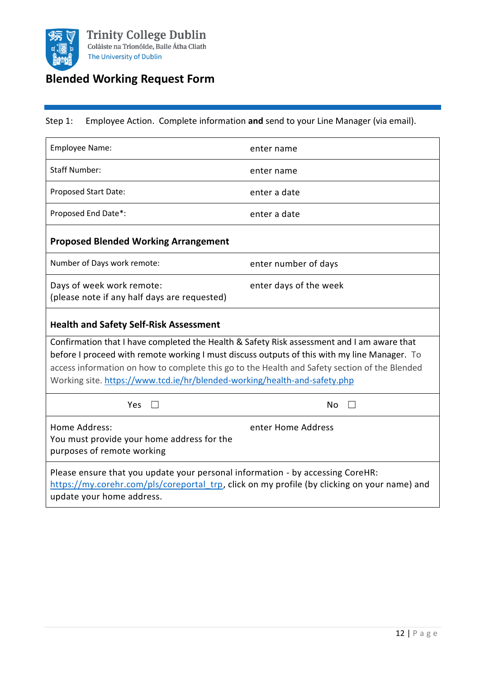

# **Blended Working Request Form**

### Step 1: Employee Action. Complete information **and** send to your Line Manager (via email).

| Employee Name:                                                                                                                                                                                                                                                                                                                                                           | enter name             |  |
|--------------------------------------------------------------------------------------------------------------------------------------------------------------------------------------------------------------------------------------------------------------------------------------------------------------------------------------------------------------------------|------------------------|--|
| <b>Staff Number:</b>                                                                                                                                                                                                                                                                                                                                                     | enter name             |  |
| Proposed Start Date:                                                                                                                                                                                                                                                                                                                                                     | enter a date           |  |
| Proposed End Date*:                                                                                                                                                                                                                                                                                                                                                      | enter a date           |  |
| <b>Proposed Blended Working Arrangement</b>                                                                                                                                                                                                                                                                                                                              |                        |  |
| Number of Days work remote:                                                                                                                                                                                                                                                                                                                                              | enter number of days   |  |
| Days of week work remote:<br>(please note if any half days are requested)                                                                                                                                                                                                                                                                                                | enter days of the week |  |
| <b>Health and Safety Self-Risk Assessment</b>                                                                                                                                                                                                                                                                                                                            |                        |  |
| Confirmation that I have completed the Health & Safety Risk assessment and I am aware that<br>before I proceed with remote working I must discuss outputs of this with my line Manager. To<br>access information on how to complete this go to the Health and Safety section of the Blended<br>Working site. https://www.tcd.ie/hr/blended-working/health-and-safety.php |                        |  |
| <b>Yes</b>                                                                                                                                                                                                                                                                                                                                                               | No                     |  |
| Home Address:<br>You must provide your home address for the<br>purposes of remote working                                                                                                                                                                                                                                                                                | enter Home Address     |  |
| Please ensure that you update your personal information - by accessing CoreHR:<br>https://my.corehr.com/pls/coreportal trp, click on my profile (by clicking on your name) and<br>update your home address.                                                                                                                                                              |                        |  |